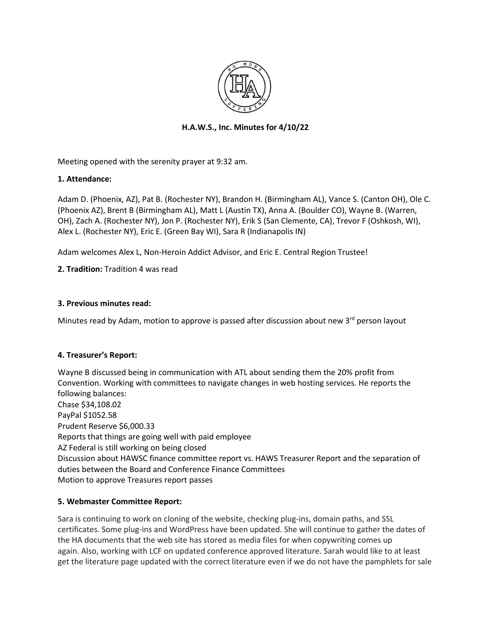

# **H.A.W.S., Inc. Minutes for 4/10/22**

Meeting opened with the serenity prayer at 9:32 am.

## **1. Attendance:**

Adam D. (Phoenix, AZ), Pat B. (Rochester NY), Brandon H. (Birmingham AL), Vance S. (Canton OH), Ole C. (Phoenix AZ), Brent B (Birmingham AL), Matt L (Austin TX), Anna A. (Boulder CO), Wayne B. (Warren, OH), Zach A. (Rochester NY), Jon P. (Rochester NY), Erik S (San Clemente, CA), Trevor F (Oshkosh, WI), Alex L. (Rochester NY), Eric E. (Green Bay WI), Sara R (Indianapolis IN)

Adam welcomes Alex L, Non-Heroin Addict Advisor, and Eric E. Central Region Trustee!

**2. Tradition:** Tradition 4 was read

## **3. Previous minutes read:**

Minutes read by Adam, motion to approve is passed after discussion about new 3rd person layout

## **4. Treasurer's Report:**

Wayne B discussed being in communication with ATL about sending them the 20% profit from Convention. Working with committees to navigate changes in web hosting services. He reports the following balances: Chase \$34,108.02 PayPal \$1052.58 Prudent Reserve \$6,000.33 Reports that things are going well with paid employee AZ Federal is still working on being closed Discussion about HAWSC finance committee report vs. HAWS Treasurer Report and the separation of duties between the Board and Conference Finance Committees Motion to approve Treasures report passes

## **5. Webmaster Committee Report:**

Sara is continuing to work on cloning of the website, checking plug-ins, domain paths, and SSL certificates. Some plug-ins and WordPress have been updated. She will continue to gather the dates of the HA documents that the web site has stored as media files for when copywriting comes up again. Also, working with LCF on updated conference approved literature. Sarah would like to at least get the literature page updated with the correct literature even if we do not have the pamphlets for sale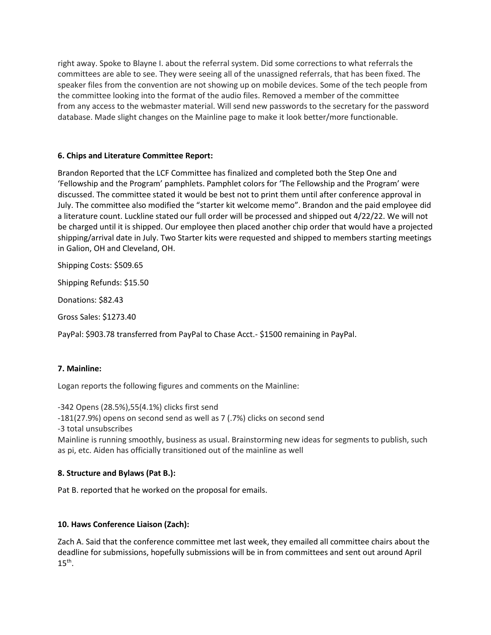right away. Spoke to Blayne I. about the referral system. Did some corrections to what referrals the committees are able to see. They were seeing all of the unassigned referrals, that has been fixed. The speaker files from the convention are not showing up on mobile devices. Some of the tech people from the committee looking into the format of the audio files. Removed a member of the committee from any access to the webmaster material. Will send new passwords to the secretary for the password database. Made slight changes on the Mainline page to make it look better/more functionable.

# **6. Chips and Literature Committee Report:**

Brandon Reported that the LCF Committee has finalized and completed both the Step One and 'Fellowship and the Program' pamphlets. Pamphlet colors for 'The Fellowship and the Program' were discussed. The committee stated it would be best not to print them until after conference approval in July. The committee also modified the "starter kit welcome memo". Brandon and the paid employee did a literature count. Luckline stated our full order will be processed and shipped out 4/22/22. We will not be charged until it is shipped. Our employee then placed another chip order that would have a projected shipping/arrival date in July. Two Starter kits were requested and shipped to members starting meetings in Galion, OH and Cleveland, OH.

Shipping Costs: \$509.65

Shipping Refunds: \$15.50

Donations: \$82.43

Gross Sales: \$1273.40

PayPal: \$903.78 transferred from PayPal to Chase Acct.- \$1500 remaining in PayPal.

## **7. Mainline:**

Logan reports the following figures and comments on the Mainline:

-342 Opens (28.5%),55(4.1%) clicks first send

-181(27.9%) opens on second send as well as 7 (.7%) clicks on second send

-3 total unsubscribes

Mainline is running smoothly, business as usual. Brainstorming new ideas for segments to publish, such as pi, etc. Aiden has officially transitioned out of the mainline as well

# **8. Structure and Bylaws (Pat B.):**

Pat B. reported that he worked on the proposal for emails.

# **10. Haws Conference Liaison (Zach):**

Zach A. Said that the conference committee met last week, they emailed all committee chairs about the deadline for submissions, hopefully submissions will be in from committees and sent out around April  $15^{\text{th}}$ .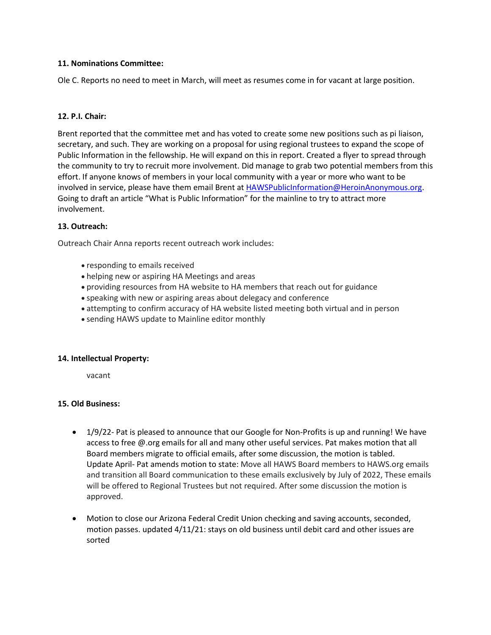#### **11. Nominations Committee:**

Ole C. Reports no need to meet in March, will meet as resumes come in for vacant at large position.

#### **12. P.I. Chair:**

Brent reported that the committee met and has voted to create some new positions such as pi liaison, secretary, and such. They are working on a proposal for using regional trustees to expand the scope of Public Information in the fellowship. He will expand on this in report. Created a flyer to spread through the community to try to recruit more involvement. Did manage to grab two potential members from this effort. If anyone knows of members in your local community with a year or more who want to be involved in service, please have them email Brent at [HAWSPublicInformation@HeroinAnonymous.org.](mailto:HAWSPublicInformation@HeroinAnonymous.org) Going to draft an article "What is Public Information" for the mainline to try to attract more involvement.

#### **13. Outreach:**

Outreach Chair Anna reports recent outreach work includes:

- responding to emails received
- helping new or aspiring HA Meetings and areas
- providing resources from HA website to HA members that reach out for guidance
- speaking with new or aspiring areas about delegacy and conference
- attempting to confirm accuracy of HA website listed meeting both virtual and in person
- sending HAWS update to Mainline editor monthly

#### **14. Intellectual Property:**

vacant

#### **15. Old Business:**

- 1/9/22- Pat is pleased to announce that our Google for Non-Profits is up and running! We have access to free @.org emails for all and many other useful services. Pat makes motion that all Board members migrate to official emails, after some discussion, the motion is tabled. Update April- Pat amends motion to state: Move all HAWS Board members to HAWS.org emails and transition all Board communication to these emails exclusively by July of 2022, These emails will be offered to Regional Trustees but not required. After some discussion the motion is approved.
- Motion to close our Arizona Federal Credit Union checking and saving accounts, seconded, motion passes. updated 4/11/21: stays on old business until debit card and other issues are sorted